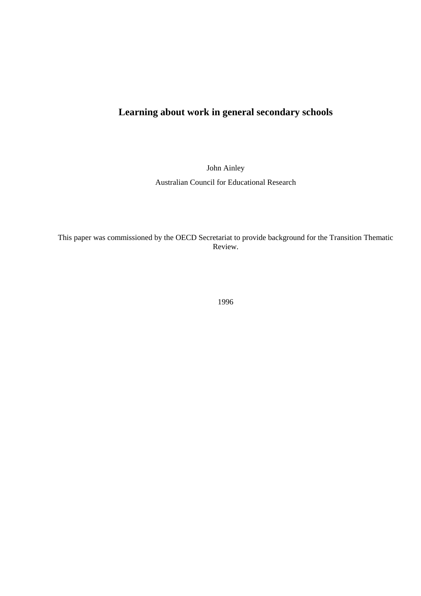# **Learning about work in general secondary schools**

John Ainley

Australian Council for Educational Research

This paper was commissioned by the OECD Secretariat to provide background for the Transition Thematic Review.

1996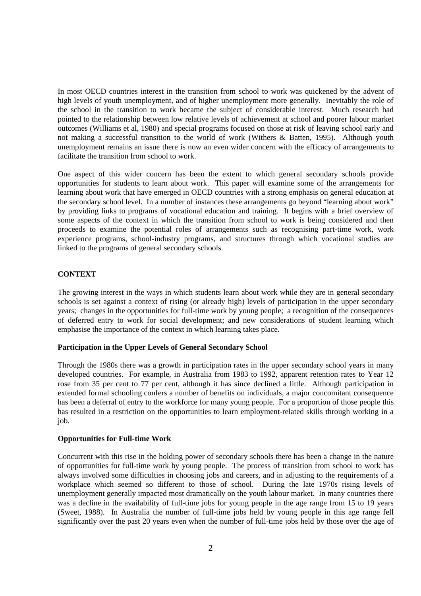In most OECD countries interest in the transition from school to work was quickened by the advent of high levels of youth unemployment, and of higher unemployment more generally. Inevitably the role of the school in the transition to work became the subject of considerable interest. Much research had pointed to the relationship between low relative levels of achievement at school and poorer labour market outcomes (Williams et al, 1980) and special programs focused on those at risk of leaving school early and not making a successful transition to the world of work (Withers & Batten, 1995). Although youth unemployment remains an issue there is now an even wider concern with the efficacy of arrangements to facilitate the transition from school to work.

One aspect of this wider concern has been the extent to which general secondary schools provide opportunities for students to learn about work. This paper will examine some of the arrangements for learning about work that have emerged in OECD countries with a strong emphasis on general education at the secondary school level. In a number of instances these arrangements go beyond "learning about work" by providing links to programs of vocational education and training. It begins with a brief overview of some aspects of the context in which the transition from school to work is being considered and then proceeds to examine the potential roles of arrangements such as recognising part-time work, work experience programs, school-industry programs, and structures through which vocational studies are linked to the programs of general secondary schools.

# **CONTEXT**

The growing interest in the ways in which students learn about work while they are in general secondary schools is set against a context of rising (or already high) levels of participation in the upper secondary years; changes in the opportunities for full-time work by young people; a recognition of the consequences of deferred entry to work for social development; and new considerations of student learning which emphasise the importance of the context in which learning takes place.

# **Participation in the Upper Levels of General Secondary School**

Through the 1980s there was a growth in participation rates in the upper secondary school years in many developed countries. For example, in Australia from 1983 to 1992, apparent retention rates to Year 12 rose from 35 per cent to 77 per cent, although it has since declined a little. Although participation in extended formal schooling confers a number of benefits on individuals, a major concomitant consequence has been a deferral of entry to the workforce for many young people. For a proportion of those people this has resulted in a restriction on the opportunities to learn employment-related skills through working in a job.

# **Opportunities for Full-time Work**

Concurrent with this rise in the holding power of secondary schools there has been a change in the nature of opportunities for full-time work by young people. The process of transition from school to work has always involved some difficulties in choosing jobs and careers, and in adjusting to the requirements of a workplace which seemed so different to those of school. During the late 1970s rising levels of unemployment generally impacted most dramatically on the youth labour market. In many countries there was a decline in the availability of full-time jobs for young people in the age range from 15 to 19 years (Sweet, 1988). In Australia the number of full-time jobs held by young people in this age range fell significantly over the past 20 years even when the number of full-time jobs held by those over the age of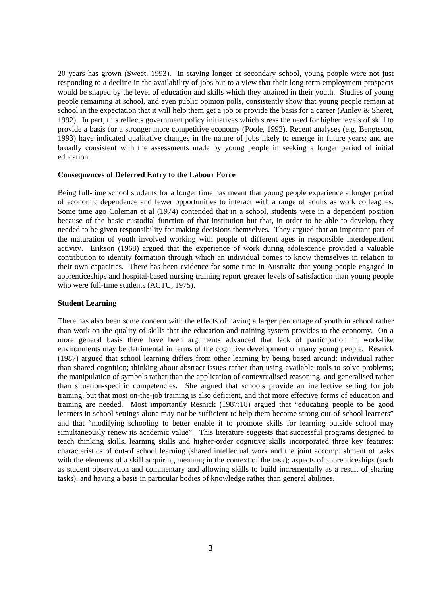20 years has grown (Sweet, 1993). In staying longer at secondary school, young people were not just responding to a decline in the availability of jobs but to a view that their long term employment prospects would be shaped by the level of education and skills which they attained in their youth. Studies of young people remaining at school, and even public opinion polls, consistently show that young people remain at school in the expectation that it will help them get a job or provide the basis for a career (Ainley & Sheret, 1992). In part, this reflects government policy initiatives which stress the need for higher levels of skill to provide a basis for a stronger more competitive economy (Poole, 1992). Recent analyses (e.g. Bengtsson, 1993) have indicated qualitative changes in the nature of jobs likely to emerge in future years; and are broadly consistent with the assessments made by young people in seeking a longer period of initial education.

#### **Consequences of Deferred Entry to the Labour Force**

Being full-time school students for a longer time has meant that young people experience a longer period of economic dependence and fewer opportunities to interact with a range of adults as work colleagues. Some time ago Coleman et al (1974) contended that in a school, students were in a dependent position because of the basic custodial function of that institution but that, in order to be able to develop, they needed to be given responsibility for making decisions themselves. They argued that an important part of the maturation of youth involved working with people of different ages in responsible interdependent activity. Erikson (1968) argued that the experience of work during adolescence provided a valuable contribution to identity formation through which an individual comes to know themselves in relation to their own capacities. There has been evidence for some time in Australia that young people engaged in apprenticeships and hospital-based nursing training report greater levels of satisfaction than young people who were full-time students (ACTU, 1975).

## **Student Learning**

There has also been some concern with the effects of having a larger percentage of youth in school rather than work on the quality of skills that the education and training system provides to the economy. On a more general basis there have been arguments advanced that lack of participation in work-like environments may be detrimental in terms of the cognitive development of many young people. Resnick (1987) argued that school learning differs from other learning by being based around: individual rather than shared cognition; thinking about abstract issues rather than using available tools to solve problems; the manipulation of symbols rather than the application of contextualised reasoning; and generalised rather than situation-specific competencies. She argued that schools provide an ineffective setting for job training, but that most on-the-job training is also deficient, and that more effective forms of education and training are needed. Most importantly Resnick (1987:18) argued that "educating people to be good learners in school settings alone may not be sufficient to help them become strong out-of-school learners" and that "modifying schooling to better enable it to promote skills for learning outside school may simultaneously renew its academic value". This literature suggests that successful programs designed to teach thinking skills, learning skills and higher-order cognitive skills incorporated three key features: characteristics of out-of school learning (shared intellectual work and the joint accomplishment of tasks with the elements of a skill acquiring meaning in the context of the task); aspects of apprenticeships (such as student observation and commentary and allowing skills to build incrementally as a result of sharing tasks); and having a basis in particular bodies of knowledge rather than general abilities.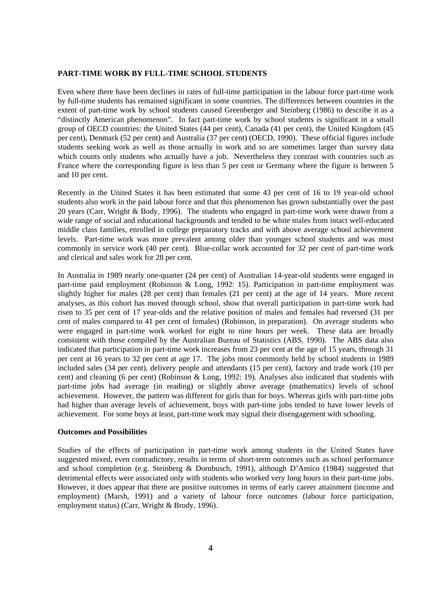# **PART-TIME WORK BY FULL-TIME SCHOOL STUDENTS**

Even where there have been declines in rates of full-time participation in the labour force part-time work by full-time students has remained significant in some countries. The differences between countries in the extent of part-time work by school students caused Greenberger and Steinberg (1986) to describe it as a "distinctly American phenomenon". In fact part-time work by school students is significant in a small group of OECD countries: the United States (44 per cent), Canada (41 per cent), the United Kingdom (45 per cent), Denmark (52 per cent) and Australia (37 per cent) (OECD, 1990). These official figures include students seeking work as well as those actually in work and so are sometimes larger than survey data which counts only students who actually have a job. Nevertheless they contrast with countries such as France where the corresponding figure is less than 5 per cent or Germany where the figure is between 5 and 10 per cent.

Recently in the United States it has been estimated that some 43 per cent of 16 to 19 year-old school students also work in the paid labour force and that this phenomenon has grown substantially over the past 20 years (Carr, Wright & Body, 1996). The students who engaged in part-time work were drawn from a wide range of social and educational backgrounds and tended to be white males from intact well-educated middle class families, enrolled in college preparatory tracks and with above average school achievement levels. Part-time work was more prevalent among older than younger school students and was most commonly in service work (40 per cent). Blue-collar work accounted for 32 per cent of part-time work and clerical and sales work for 28 per cent.

In Australia in 1989 nearly one-quarter (24 per cent) of Australian 14-year-old students were engaged in part-time paid employment (Robinson & Long, 1992: 15). Participation in part-time employment was slightly higher for males (28 per cent) than females (21 per cent) at the age of 14 years. More recent analyses, as this cohort has moved through school, show that overall participation in part-time work had risen to 35 per cent of 17 year-olds and the relative position of males and females had reversed (31 per cent of males compared to 41 per cent of females) (Robinson, in preparation). On average students who were engaged in part-time work worked for eight to nine hours per week. These data are broadly consistent with those compiled by the Australian Bureau of Statistics (ABS, 1990). The ABS data also indicated that participation in part-time work increases from 23 per cent at the age of 15 years, through 31 per cent at 16 years to 32 per cent at age 17. The jobs most commonly held by school students in 1989 included sales (34 per cent), delivery people and attendants (15 per cent), factory and trade work (10 per cent) and cleaning (6 per cent) (Robinson & Long, 1992: 19). Analyses also indicated that students with part-time jobs had average (in reading) or slightly above average (mathematics) levels of school achievement. However, the pattern was different for girls than for boys. Whereas girls with part-time jobs had higher than average levels of achievement, boys with part-time jobs tended to have lower levels of achievement. For some boys at least, part-time work may signal their disengagement with schooling.

# **Outcomes and Possibilities**

Studies of the effects of participation in part-time work among students in the United States have suggested mixed, even contradictory, results in terms of short-term outcomes such as school performance and school completion (e.g. Steinberg & Dornbusch, 1991), although D'Amico (1984) suggested that detrimental effects were associated only with students who worked very long hours in their part-time jobs. However, it does appear that there are positive outcomes in terms of early career attainment (income and employment) (Marsh, 1991) and a variety of labour force outcomes (labour force participation, employment status) (Carr, Wright & Brody, 1996).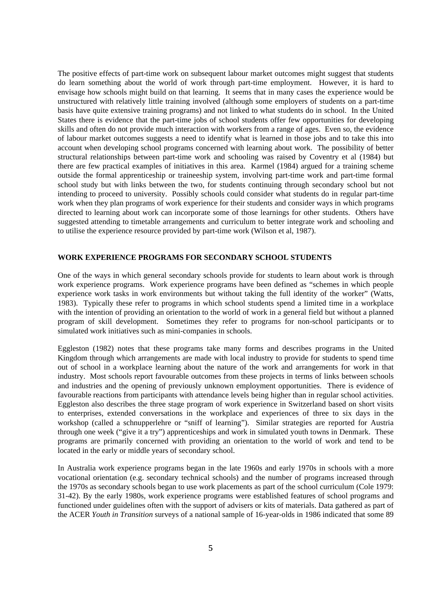The positive effects of part-time work on subsequent labour market outcomes might suggest that students do learn something about the world of work through part-time employment. However, it is hard to envisage how schools might build on that learning. It seems that in many cases the experience would be unstructured with relatively little training involved (although some employers of students on a part-time basis have quite extensive training programs) and not linked to what students do in school. In the United States there is evidence that the part-time jobs of school students offer few opportunities for developing skills and often do not provide much interaction with workers from a range of ages. Even so, the evidence of labour market outcomes suggests a need to identify what is learned in those jobs and to take this into account when developing school programs concerned with learning about work. The possibility of better structural relationships between part-time work and schooling was raised by Coventry et al (1984) but there are few practical examples of initiatives in this area. Karmel (1984) argued for a training scheme outside the formal apprenticeship or traineeship system, involving part-time work and part-time formal school study but with links between the two, for students continuing through secondary school but not intending to proceed to university. Possibly schools could consider what students do in regular part-time work when they plan programs of work experience for their students and consider ways in which programs directed to learning about work can incorporate some of those learnings for other students. Others have suggested attending to timetable arrangements and curriculum to better integrate work and schooling and to utilise the experience resource provided by part-time work (Wilson et al, 1987).

## **WORK EXPERIENCE PROGRAMS FOR SECONDARY SCHOOL STUDENTS**

One of the ways in which general secondary schools provide for students to learn about work is through work experience programs. Work experience programs have been defined as "schemes in which people experience work tasks in work environments but without taking the full identity of the worker" (Watts, 1983). Typically these refer to programs in which school students spend a limited time in a workplace with the intention of providing an orientation to the world of work in a general field but without a planned program of skill development. Sometimes they refer to programs for non-school participants or to simulated work initiatives such as mini-companies in schools.

Eggleston (1982) notes that these programs take many forms and describes programs in the United Kingdom through which arrangements are made with local industry to provide for students to spend time out of school in a workplace learning about the nature of the work and arrangements for work in that industry. Most schools report favourable outcomes from these projects in terms of links between schools and industries and the opening of previously unknown employment opportunities. There is evidence of favourable reactions from participants with attendance levels being higher than in regular school activities. Eggleston also describes the three stage program of work experience in Switzerland based on short visits to enterprises, extended conversations in the workplace and experiences of three to six days in the workshop (called a schnupperlehre or "sniff of learning"). Similar strategies are reported for Austria through one week ("give it a try") apprenticeships and work in simulated youth towns in Denmark. These programs are primarily concerned with providing an orientation to the world of work and tend to be located in the early or middle years of secondary school.

In Australia work experience programs began in the late 1960s and early 1970s in schools with a more vocational orientation (e.g. secondary technical schools) and the number of programs increased through the 1970s as secondary schools began to use work placements as part of the school curriculum (Cole 1979: 31-42). By the early 1980s, work experience programs were established features of school programs and functioned under guidelines often with the support of advisers or kits of materials. Data gathered as part of the ACER *Youth in Transition* surveys of a national sample of 16-year-olds in 1986 indicated that some 89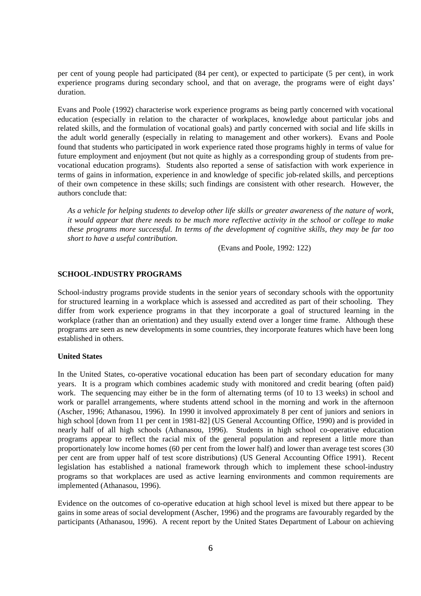per cent of young people had participated (84 per cent), or expected to participate (5 per cent), in work experience programs during secondary school, and that on average, the programs were of eight days' duration.

Evans and Poole (1992) characterise work experience programs as being partly concerned with vocational education (especially in relation to the character of workplaces, knowledge about particular jobs and related skills, and the formulation of vocational goals) and partly concerned with social and life skills in the adult world generally (especially in relating to management and other workers). Evans and Poole found that students who participated in work experience rated those programs highly in terms of value for future employment and enjoyment (but not quite as highly as a corresponding group of students from prevocational education programs). Students also reported a sense of satisfaction with work experience in terms of gains in information, experience in and knowledge of specific job-related skills, and perceptions of their own competence in these skills; such findings are consistent with other research. However, the authors conclude that:

*As a vehicle for helping students to develop other life skills or greater awareness of the nature of work, it would appear that there needs to be much more reflective activity in the school or college to make these programs more successful. In terms of the development of cognitive skills, they may be far too short to have a useful contribution.*

(Evans and Poole, 1992: 122)

# **SCHOOL-INDUSTRY PROGRAMS**

School-industry programs provide students in the senior years of secondary schools with the opportunity for structured learning in a workplace which is assessed and accredited as part of their schooling. They differ from work experience programs in that they incorporate a goal of structured learning in the workplace (rather than an orientation) and they usually extend over a longer time frame. Although these programs are seen as new developments in some countries, they incorporate features which have been long established in others.

#### **United States**

In the United States, co-operative vocational education has been part of secondary education for many years. It is a program which combines academic study with monitored and credit bearing (often paid) work. The sequencing may either be in the form of alternating terms (of 10 to 13 weeks) in school and work or parallel arrangements, where students attend school in the morning and work in the afternoon (Ascher, 1996; Athanasou, 1996). In 1990 it involved approximately 8 per cent of juniors and seniors in high school [down from 11 per cent in 1981-82] (US General Accounting Office, 1990) and is provided in nearly half of all high schools (Athanasou, 1996). Students in high school co-operative education programs appear to reflect the racial mix of the general population and represent a little more than proportionately low income homes (60 per cent from the lower half) and lower than average test scores (30 per cent are from upper half of test score distributions) (US General Accounting Office 1991). Recent legislation has established a national framework through which to implement these school-industry programs so that workplaces are used as active learning environments and common requirements are implemented (Athanasou, 1996).

Evidence on the outcomes of co-operative education at high school level is mixed but there appear to be gains in some areas of social development (Ascher, 1996) and the programs are favourably regarded by the participants (Athanasou, 1996). A recent report by the United States Department of Labour on achieving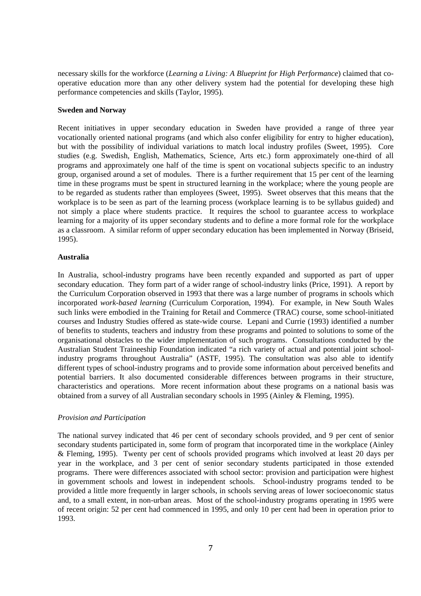necessary skills for the workforce (*Learning a Living: A Blueprint for High Performance*) claimed that cooperative education more than any other delivery system had the potential for developing these high performance competencies and skills (Taylor, 1995).

## **Sweden and Norway**

Recent initiatives in upper secondary education in Sweden have provided a range of three year vocationally oriented national programs (and which also confer eligibility for entry to higher education), but with the possibility of individual variations to match local industry profiles (Sweet, 1995). Core studies (e.g. Swedish, English, Mathematics, Science, Arts etc.) form approximately one-third of all programs and approximately one half of the time is spent on vocational subjects specific to an industry group, organised around a set of modules. There is a further requirement that 15 per cent of the learning time in these programs must be spent in structured learning in the workplace; where the young people are to be regarded as students rather than employees (Sweet, 1995). Sweet observes that this means that the workplace is to be seen as part of the learning process (workplace learning is to be syllabus guided) and not simply a place where students practice. It requires the school to guarantee access to workplace learning for a majority of its upper secondary students and to define a more formal role for the workplace as a classroom. A similar reform of upper secondary education has been implemented in Norway (Briseid, 1995).

#### **Australia**

In Australia, school-industry programs have been recently expanded and supported as part of upper secondary education. They form part of a wider range of school-industry links (Price, 1991). A report by the Curriculum Corporation observed in 1993 that there was a large number of programs in schools which incorporated *work-based learning* (Curriculum Corporation, 1994). For example, in New South Wales such links were embodied in the Training for Retail and Commerce (TRAC) course, some school-initiated courses and Industry Studies offered as state-wide course. Lepani and Currie (1993) identified a number of benefits to students, teachers and industry from these programs and pointed to solutions to some of the organisational obstacles to the wider implementation of such programs. Consultations conducted by the Australian Student Traineeship Foundation indicated "a rich variety of actual and potential joint schoolindustry programs throughout Australia" (ASTF, 1995). The consultation was also able to identify different types of school-industry programs and to provide some information about perceived benefits and potential barriers. It also documented considerable differences between programs in their structure, characteristics and operations. More recent information about these programs on a national basis was obtained from a survey of all Australian secondary schools in 1995 (Ainley & Fleming, 1995).

#### *Provision and Participation*

The national survey indicated that 46 per cent of secondary schools provided, and 9 per cent of senior secondary students participated in, some form of program that incorporated time in the workplace (Ainley & Fleming, 1995). Twenty per cent of schools provided programs which involved at least 20 days per year in the workplace, and 3 per cent of senior secondary students participated in those extended programs. There were differences associated with school sector: provision and participation were highest in government schools and lowest in independent schools. School-industry programs tended to be provided a little more frequently in larger schools, in schools serving areas of lower socioeconomic status and, to a small extent, in non-urban areas. Most of the school-industry programs operating in 1995 were of recent origin: 52 per cent had commenced in 1995, and only 10 per cent had been in operation prior to 1993.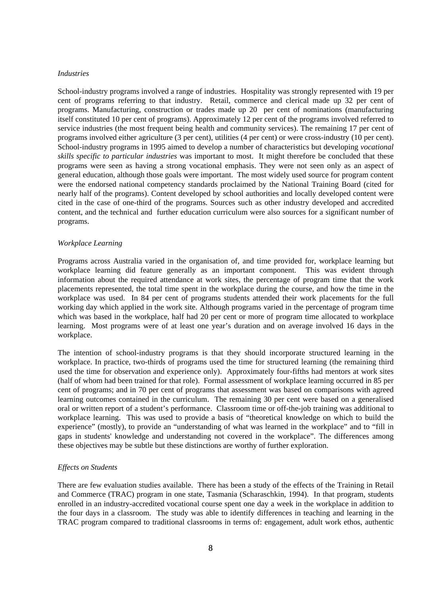#### *Industries*

School-industry programs involved a range of industries. Hospitality was strongly represented with 19 per cent of programs referring to that industry. Retail, commerce and clerical made up 32 per cent of programs. Manufacturing, construction or trades made up 20 per cent of nominations (manufacturing itself constituted 10 per cent of programs). Approximately 12 per cent of the programs involved referred to service industries (the most frequent being health and community services). The remaining 17 per cent of programs involved either agriculture (3 per cent), utilities (4 per cent) or were cross-industry (10 per cent). School-industry programs in 1995 aimed to develop a number of characteristics but developing *vocational skills specific to particular industries* was important to most. It might therefore be concluded that these programs were seen as having a strong vocational emphasis. They were not seen only as an aspect of general education, although those goals were important. The most widely used source for program content were the endorsed national competency standards proclaimed by the National Training Board (cited for nearly half of the programs). Content developed by school authorities and locally developed content were cited in the case of one-third of the programs. Sources such as other industry developed and accredited content, and the technical and further education curriculum were also sources for a significant number of programs.

#### *Workplace Learning*

Programs across Australia varied in the organisation of, and time provided for, workplace learning but workplace learning did feature generally as an important component. This was evident through information about the required attendance at work sites, the percentage of program time that the work placements represented, the total time spent in the workplace during the course, and how the time in the workplace was used. In 84 per cent of programs students attended their work placements for the full working day which applied in the work site. Although programs varied in the percentage of program time which was based in the workplace, half had 20 per cent or more of program time allocated to workplace learning. Most programs were of at least one year's duration and on average involved 16 days in the workplace.

The intention of school-industry programs is that they should incorporate structured learning in the workplace. In practice, two-thirds of programs used the time for structured learning (the remaining third used the time for observation and experience only). Approximately four-fifths had mentors at work sites (half of whom had been trained for that role). Formal assessment of workplace learning occurred in 85 per cent of programs; and in 70 per cent of programs that assessment was based on comparisons with agreed learning outcomes contained in the curriculum. The remaining 30 per cent were based on a generalised oral or written report of a student's performance. Classroom time or off-the-job training was additional to workplace learning. This was used to provide a basis of "theoretical knowledge on which to build the experience" (mostly), to provide an "understanding of what was learned in the workplace" and to "fill in gaps in students' knowledge and understanding not covered in the workplace". The differences among these objectives may be subtle but these distinctions are worthy of further exploration.

#### *Effects on Students*

There are few evaluation studies available. There has been a study of the effects of the Training in Retail and Commerce (TRAC) program in one state, Tasmania (Scharaschkin, 1994). In that program, students enrolled in an industry-accredited vocational course spent one day a week in the workplace in addition to the four days in a classroom. The study was able to identify differences in teaching and learning in the TRAC program compared to traditional classrooms in terms of: engagement, adult work ethos, authentic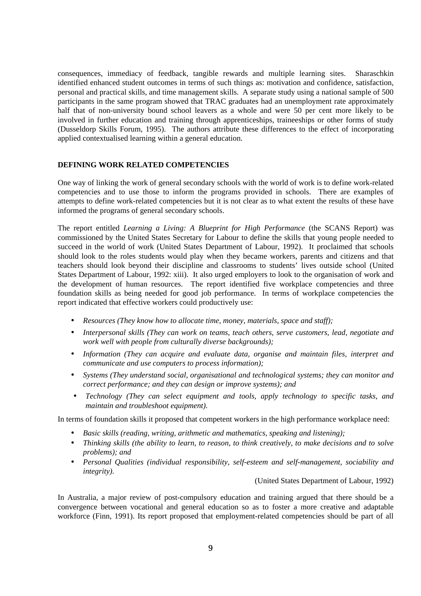consequences, immediacy of feedback, tangible rewards and multiple learning sites. Sharaschkin identified enhanced student outcomes in terms of such things as: motivation and confidence, satisfaction, personal and practical skills, and time management skills. A separate study using a national sample of 500 participants in the same program showed that TRAC graduates had an unemployment rate approximately half that of non-university bound school leavers as a whole and were 50 per cent more likely to be involved in further education and training through apprenticeships, traineeships or other forms of study (Dusseldorp Skills Forum, 1995). The authors attribute these differences to the effect of incorporating applied contextualised learning within a general education.

# **DEFINING WORK RELATED COMPETENCIES**

One way of linking the work of general secondary schools with the world of work is to define work-related competencies and to use those to inform the programs provided in schools. There are examples of attempts to define work-related competencies but it is not clear as to what extent the results of these have informed the programs of general secondary schools.

The report entitled *Learning a Living: A Blueprint for High Performance* (the SCANS Report) was commissioned by the United States Secretary for Labour to define the skills that young people needed to succeed in the world of work (United States Department of Labour, 1992). It proclaimed that schools should look to the roles students would play when they became workers, parents and citizens and that teachers should look beyond their discipline and classrooms to students' lives outside school (United States Department of Labour, 1992: xiii). It also urged employers to look to the organisation of work and the development of human resources. The report identified five workplace competencies and three foundation skills as being needed for good job performance. In terms of workplace competencies the report indicated that effective workers could productively use:

- *Resources (They know how to allocate time, money, materials, space and staff);*
- *Interpersonal skills (They can work on teams, teach others, serve customers, lead, negotiate and work well with people from culturally diverse backgrounds);*
- *Information (They can acquire and evaluate data, organise and maintain files, interpret and communicate and use computers to process information);*
- *Systems (They understand social, organisational and technological systems; they can monitor and correct performance; and they can design or improve systems); and*
- *Technology (They can select equipment and tools, apply technology to specific tasks, and maintain and troubleshoot equipment).*

In terms of foundation skills it proposed that competent workers in the high performance workplace need:

- *Basic skills (reading, writing, arithmetic and mathematics, speaking and listening);*
- *Thinking skills (the ability to learn, to reason, to think creatively, to make decisions and to solve problems); and*
- *Personal Qualities (individual responsibility, self-esteem and self-management, sociability and integrity).*

(United States Department of Labour, 1992)

In Australia, a major review of post-compulsory education and training argued that there should be a convergence between vocational and general education so as to foster a more creative and adaptable workforce (Finn, 1991). Its report proposed that employment-related competencies should be part of all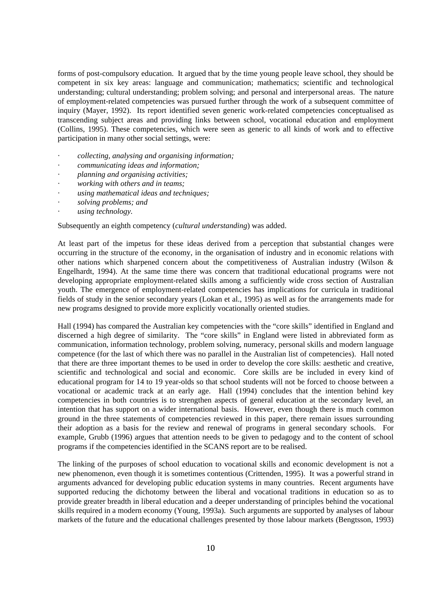forms of post-compulsory education. It argued that by the time young people leave school, they should be competent in six key areas: language and communication; mathematics; scientific and technological understanding; cultural understanding; problem solving; and personal and interpersonal areas. The nature of employment-related competencies was pursued further through the work of a subsequent committee of inquiry (Mayer, 1992). Its report identified seven generic work-related competencies conceptualised as transcending subject areas and providing links between school, vocational education and employment (Collins, 1995). These competencies, which were seen as generic to all kinds of work and to effective participation in many other social settings, were:

- *· collecting, analysing and organising information;*
- *· communicating ideas and information;*
- *· planning and organising activities;*
- *· working with others and in teams;*
- *· using mathematical ideas and techniques;*
- *· solving problems; and*
- *· using technology.*

Subsequently an eighth competency (*cultural understanding*) was added.

At least part of the impetus for these ideas derived from a perception that substantial changes were occurring in the structure of the economy, in the organisation of industry and in economic relations with other nations which sharpened concern about the competitiveness of Australian industry (Wilson & Engelhardt, 1994). At the same time there was concern that traditional educational programs were not developing appropriate employment-related skills among a sufficiently wide cross section of Australian youth. The emergence of employment-related competencies has implications for curricula in traditional fields of study in the senior secondary years (Lokan et al., 1995) as well as for the arrangements made for new programs designed to provide more explicitly vocationally oriented studies.

Hall (1994) has compared the Australian key competencies with the "core skills" identified in England and discerned a high degree of similarity. The "core skills" in England were listed in abbreviated form as communication, information technology, problem solving, numeracy, personal skills and modern language competence (for the last of which there was no parallel in the Australian list of competencies). Hall noted that there are three important themes to be used in order to develop the core skills: aesthetic and creative, scientific and technological and social and economic. Core skills are be included in every kind of educational program for 14 to 19 year-olds so that school students will not be forced to choose between a vocational or academic track at an early age. Hall (1994) concludes that the intention behind key competencies in both countries is to strengthen aspects of general education at the secondary level, an intention that has support on a wider international basis. However, even though there is much common ground in the three statements of competencies reviewed in this paper, there remain issues surrounding their adoption as a basis for the review and renewal of programs in general secondary schools. For example, Grubb (1996) argues that attention needs to be given to pedagogy and to the content of school programs if the competencies identified in the SCANS report are to be realised.

The linking of the purposes of school education to vocational skills and economic development is not a new phenomenon, even though it is sometimes contentious (Crittenden, 1995). It was a powerful strand in arguments advanced for developing public education systems in many countries. Recent arguments have supported reducing the dichotomy between the liberal and vocational traditions in education so as to provide greater breadth in liberal education and a deeper understanding of principles behind the vocational skills required in a modern economy (Young, 1993a). Such arguments are supported by analyses of labour markets of the future and the educational challenges presented by those labour markets (Bengtsson, 1993)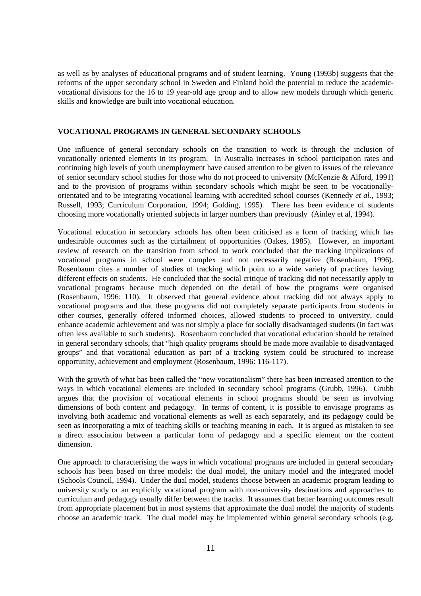as well as by analyses of educational programs and of student learning. Young (1993b) suggests that the reforms of the upper secondary school in Sweden and Finland hold the potential to reduce the academicvocational divisions for the 16 to 19 year-old age group and to allow new models through which generic skills and knowledge are built into vocational education.

# **VOCATIONAL PROGRAMS IN GENERAL SECONDARY SCHOOLS**

One influence of general secondary schools on the transition to work is through the inclusion of vocationally oriented elements in its program. In Australia increases in school participation rates and continuing high levels of youth unemployment have caused attention to be given to issues of the relevance of senior secondary school studies for those who do not proceed to university (McKenzie & Alford, 1991) and to the provision of programs within secondary schools which might be seen to be vocationallyorientated and to be integrating vocational learning with accredited school courses (Kennedy *et al.*, 1993; Russell, 1993; Curriculum Corporation, 1994; Golding, 1995). There has been evidence of students choosing more vocationally oriented subjects in larger numbers than previously (Ainley et al, 1994).

Vocational education in secondary schools has often been criticised as a form of tracking which has undesirable outcomes such as the curtailment of opportunities (Oakes, 1985). However, an important review of research on the transition from school to work concluded that the tracking implications of vocational programs in school were complex and not necessarily negative (Rosenbaum, 1996). Rosenbaum cites a number of studies of tracking which point to a wide variety of practices having different effects on students. He concluded that the social critique of tracking did not necessarily apply to vocational programs because much depended on the detail of how the programs were organised (Rosenbaum, 1996: 110). It observed that general evidence about tracking did not always apply to vocational programs and that these programs did not completely separate participants from students in other courses, generally offered informed choices, allowed students to proceed to university, could enhance academic achievement and was not simply a place for socially disadvantaged students (in fact was often less available to such students). Rosenbaum concluded that vocational education should be retained in general secondary schools, that "high quality programs should be made more available to disadvantaged groups" and that vocational education as part of a tracking system could be structured to increase opportunity, achievement and employment (Rosenbaum, 1996: 116-117).

With the growth of what has been called the "new vocationalism" there has been increased attention to the ways in which vocational elements are included in secondary school programs (Grubb, 1996). Grubb argues that the provision of vocational elements in school programs should be seen as involving dimensions of both content and pedagogy. In terms of content, it is possible to envisage programs as involving both academic and vocational elements as well as each separately, and its pedagogy could be seen as incorporating a mix of teaching skills or teaching meaning in each. It is argued as mistaken to see a direct association between a particular form of pedagogy and a specific element on the content dimension.

One approach to characterising the ways in which vocational programs are included in general secondary schools has been based on three models: the dual model, the unitary model and the integrated model (Schools Council, 1994). Under the dual model, students choose between an academic program leading to university study or an explicitly vocational program with non-university destinations and approaches to curriculum and pedagogy usually differ between the tracks. It assumes that better learning outcomes result from appropriate placement but in most systems that approximate the dual model the majority of students choose an academic track. The dual model may be implemented within general secondary schools (e.g.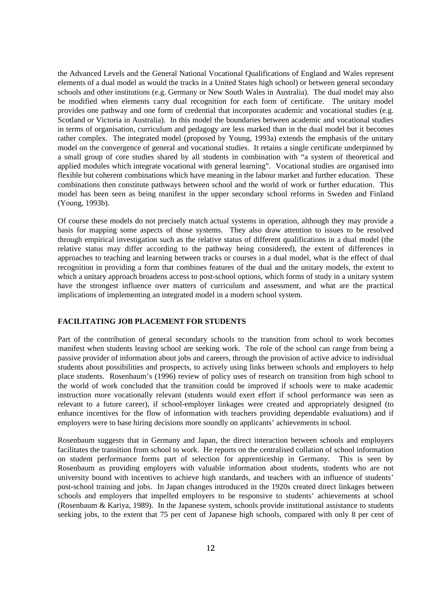the Advanced Levels and the General National Vocational Qualifications of England and Wales represent elements of a dual model as would the tracks in a United States high school) or between general secondary schools and other institutions (e.g. Germany or New South Wales in Australia). The dual model may also be modified when elements carry dual recognition for each form of certificate. The unitary model provides one pathway and one form of credential that incorporates academic and vocational studies (e.g. Scotland or Victoria in Australia). In this model the boundaries between academic and vocational studies in terms of organisation, curriculum and pedagogy are less marked than in the dual model but it becomes rather complex. The integrated model (proposed by Young, 1993a) extends the emphasis of the unitary model on the convergence of general and vocational studies. It retains a single certificate underpinned by a small group of core studies shared by all students in combination with "a system of theoretical and applied modules which integrate vocational with general learning". Vocational studies are organised into flexible but coherent combinations which have meaning in the labour market and further education. These combinations then constitute pathways between school and the world of work or further education. This model has been seen as being manifest in the upper secondary school reforms in Sweden and Finland (Young, 1993b).

Of course these models do not precisely match actual systems in operation, although they may provide a basis for mapping some aspects of those systems. They also draw attention to issues to be resolved through empirical investigation such as the relative status of different qualifications in a dual model (the relative status may differ according to the pathway being considered), the extent of differences in approaches to teaching and learning between tracks or courses in a dual model, what is the effect of dual recognition in providing a form that combines features of the dual and the unitary models, the extent to which a unitary approach broadens access to post-school options, which forms of study in a unitary system have the strongest influence over matters of curriculum and assessment, and what are the practical implications of implementing an integrated model in a modern school system.

# **FACILITATING JOB PLACEMENT FOR STUDENTS**

Part of the contribution of general secondary schools to the transition from school to work becomes manifest when students leaving school are seeking work. The role of the school can range from being a passive provider of information about jobs and careers, through the provision of active advice to individual students about possibilities and prospects, to actively using links between schools and employers to help place students. Rosenbaum's (1996) review of policy uses of research on transition from high school to the world of work concluded that the transition could be improved if schools were to make academic instruction more vocationally relevant (students would exert effort if school performance was seen as relevant to a future career), if school-employer linkages were created and appropriately designed (to enhance incentives for the flow of information with teachers providing dependable evaluations) and if employers were to base hiring decisions more soundly on applicants' achievements in school.

Rosenbaum suggests that in Germany and Japan, the direct interaction between schools and employers facilitates the transition from school to work. He reports on the centralised collation of school information on student performance forms part of selection for apprenticeship in Germany. This is seen by Rosenbaum as providing employers with valuable information about students, students who are not university bound with incentives to achieve high standards, and teachers with an influence of students' post-school training and jobs. In Japan changes introduced in the 1920s created direct linkages between schools and employers that impelled employers to be responsive to students' achievements at school (Rosenbaum & Kariya, 1989). In the Japanese system, schools provide institutional assistance to students seeking jobs, to the extent that 75 per cent of Japanese high schools, compared with only 8 per cent of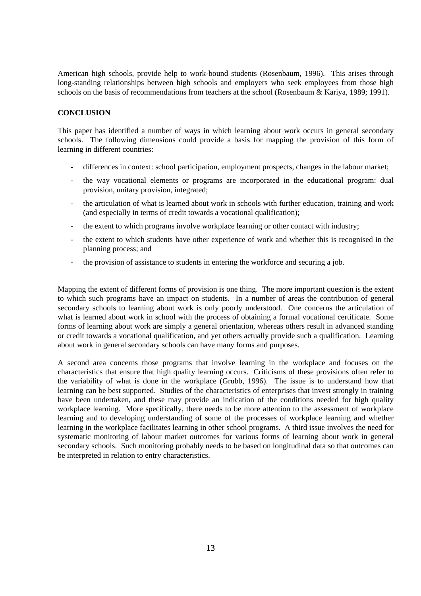American high schools, provide help to work-bound students (Rosenbaum, 1996). This arises through long-standing relationships between high schools and employers who seek employees from those high schools on the basis of recommendations from teachers at the school (Rosenbaum & Kariya, 1989; 1991).

# **CONCLUSION**

This paper has identified a number of ways in which learning about work occurs in general secondary schools. The following dimensions could provide a basis for mapping the provision of this form of learning in different countries:

- differences in context: school participation, employment prospects, changes in the labour market;
- the way vocational elements or programs are incorporated in the educational program: dual provision, unitary provision, integrated;
- the articulation of what is learned about work in schools with further education, training and work (and especially in terms of credit towards a vocational qualification);
- the extent to which programs involve workplace learning or other contact with industry;
- the extent to which students have other experience of work and whether this is recognised in the planning process; and
- the provision of assistance to students in entering the workforce and securing a job.

Mapping the extent of different forms of provision is one thing. The more important question is the extent to which such programs have an impact on students. In a number of areas the contribution of general secondary schools to learning about work is only poorly understood. One concerns the articulation of what is learned about work in school with the process of obtaining a formal vocational certificate. Some forms of learning about work are simply a general orientation, whereas others result in advanced standing or credit towards a vocational qualification, and yet others actually provide such a qualification. Learning about work in general secondary schools can have many forms and purposes.

A second area concerns those programs that involve learning in the workplace and focuses on the characteristics that ensure that high quality learning occurs. Criticisms of these provisions often refer to the variability of what is done in the workplace (Grubb, 1996). The issue is to understand how that learning can be best supported. Studies of the characteristics of enterprises that invest strongly in training have been undertaken, and these may provide an indication of the conditions needed for high quality workplace learning. More specifically, there needs to be more attention to the assessment of workplace learning and to developing understanding of some of the processes of workplace learning and whether learning in the workplace facilitates learning in other school programs. A third issue involves the need for systematic monitoring of labour market outcomes for various forms of learning about work in general secondary schools. Such monitoring probably needs to be based on longitudinal data so that outcomes can be interpreted in relation to entry characteristics.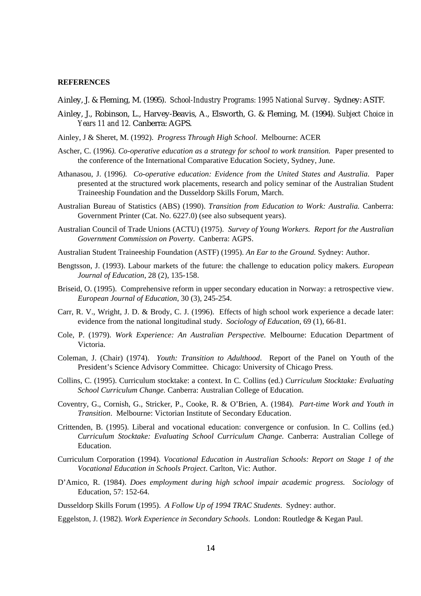## **REFERENCES**

- Ainley, J. & Fleming, M. (1995). *School-Industry Programs: 1995 National Survey*. Sydney: ASTF.
- Ainley, J., Robinson, L., Harvey-Beavis, A., Elsworth, G. & Fleming, M. (1994). *Subject Choice in Years 11 and 12.* Canberra: AGPS.
- Ainley, J & Sheret, M. (1992). *Progress Through High School*. Melbourne: ACER
- Ascher, C. (1996*). Co-operative education as a strategy for school to work transition.* Paper presented to the conference of the International Comparative Education Society, Sydney, June.
- Athanasou, J. (1996*). Co-operative education: Evidence from the United States and Australia*. Paper presented at the structured work placements, research and policy seminar of the Australian Student Traineeship Foundation and the Dusseldorp Skills Forum, March.
- Australian Bureau of Statistics (ABS) (1990). *Transition from Education to Work: Australia.* Canberra: Government Printer (Cat. No. 6227.0) (see also subsequent years).
- Australian Council of Trade Unions (ACTU) (1975). *Survey of Young Workers. Report for the Australian Government Commission on Poverty*. Canberra: AGPS.
- Australian Student Traineeship Foundation (ASTF) (1995). *An Ear to the Ground.* Sydney: Author.
- Bengtsson, J. (1993). Labour markets of the future: the challenge to education policy makers*. European Journal of Education*, 28 (2), 135-158.
- Briseid, O. (1995). Comprehensive reform in upper secondary education in Norway: a retrospective view. *European Journal of Education*, 30 (3), 245-254.
- Carr, R. V., Wright, J. D. & Brody, C. J. (1996). Effects of high school work experience a decade later: evidence from the national longitudinal study. *Sociology of Education*, 69 (1), 66-81.
- Cole, P. (1979). *Work Experience: An Australian Perspective.* Melbourne: Education Department of Victoria.
- Coleman, J. (Chair) (1974). *Youth: Transition to Adulthood*. Report of the Panel on Youth of the President's Science Advisory Committee. Chicago: University of Chicago Press.
- Collins, C. (1995). Curriculum stocktake: a context. In C. Collins (ed.) *Curriculum Stocktake: Evaluating School Curriculum Change.* Canberra: Australian College of Education.
- Coventry, G., Cornish, G., Stricker, P., Cooke, R. & O'Brien, A. (1984). *Part-time Work and Youth in Transition*. Melbourne: Victorian Institute of Secondary Education.
- Crittenden, B. (1995). Liberal and vocational education: convergence or confusion. In C. Collins (ed.) *Curriculum Stocktake: Evaluating School Curriculum Change.* Canberra: Australian College of Education.
- Curriculum Corporation (1994). *Vocational Education in Australian Schools: Report on Stage 1 of the Vocational Education in Schools Project*. Carlton, Vic: Author.
- D'Amico, R. (1984). *Does employment during high school impair academic progress. Sociology* of Education, 57: 152-64.

Dusseldorp Skills Forum (1995). *A Follow Up of 1994 TRAC Students*. Sydney: author.

Eggelston, J. (1982). *Work Experience in Secondary Schools*. London: Routledge & Kegan Paul.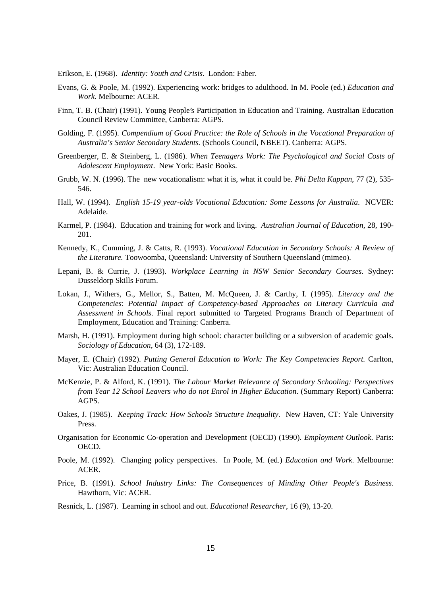Erikson, E. (1968). *Identity: Youth and Crisis*. London: Faber.

- Evans, G. & Poole, M. (1992). Experiencing work: bridges to adulthood. In M. Poole (ed.) *Education and Work.* Melbourne: ACER.
- Finn, T. B. (Chair) (1991). Young People's Participation in Education and Training. Australian Education Council Review Committee, Canberra: AGPS.
- Golding, F. (1995). *Compendium of Good Practice: the Role of Schools in the Vocational Preparation of Australia's Senior Secondary Students.* (Schools Council, NBEET). Canberra: AGPS.
- Greenberger, E. & Steinberg, L. (1986). *When Teenagers Work: The Psychological and Social Costs of Adolescent Employment*. New York: Basic Books.
- Grubb, W. N. (1996). The new vocationalism: what it is, what it could be*. Phi Delta Kappan*, 77 (2), 535- 546.
- Hall, W. (1994). *English 15-19 year-olds Vocational Education: Some Lessons for Australia*. NCVER: Adelaide.
- Karmel, P. (1984). Education and training for work and living. *Australian Journal of Education*, 28, 190- 201.
- Kennedy, K., Cumming, J. & Catts, R. (1993). *Vocational Education in Secondary Schools: A Review of the Literature.* Toowoomba, Queensland: University of Southern Queensland (mimeo).
- Lepani, B. & Currie, J. (1993). *Workplace Learning in NSW Senior Secondary Courses*. Sydney: Dusseldorp Skills Forum.
- Lokan, J., Withers, G., Mellor, S., Batten, M. McQueen, J. & Carthy, I. (1995). *Literacy and the Competencies*: *Potential Impact of Competency-based Approaches on Literacy Curricula and Assessment in Schools*. Final report submitted to Targeted Programs Branch of Department of Employment, Education and Training: Canberra.
- Marsh, H. (1991). Employment during high school: character building or a subversion of academic goals*. Sociology of Education*, 64 (3), 172-189.
- Mayer, E. (Chair) (1992). *Putting General Education to Work: The Key Competencies Report.* Carlton, Vic: Australian Education Council.
- McKenzie, P. & Alford, K. (1991). *The Labour Market Relevance of Secondary Schooling: Perspectives from Year 12 School Leavers who do not Enrol in Higher Education*. (Summary Report) Canberra: AGPS.
- Oakes, J. (1985). *Keeping Track: How Schools Structure Inequality*. New Haven, CT: Yale University Press.
- Organisation for Economic Co-operation and Development (OECD) (1990). *Employment Outlook*. Paris: OECD.
- Poole, M. (1992). Changing policy perspectives. In Poole, M. (ed.) *Education and Work*. Melbourne: ACER.
- Price, B. (1991). *School Industry Links: The Consequences of Minding Other People's Business*. Hawthorn, Vic: ACER.
- Resnick, L. (1987). Learning in school and out. *Educational Researcher*, 16 (9), 13-20.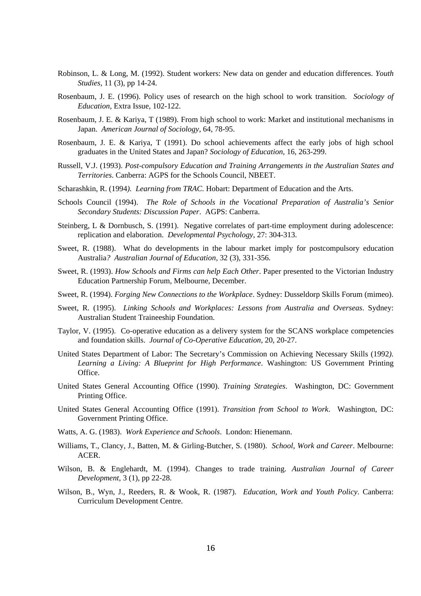- Robinson, L. & Long, M. (1992). Student workers: New data on gender and education differences. *Youth Studies,* 11 (3), pp 14-24.
- Rosenbaum, J. E. (1996). Policy uses of research on the high school to work transition. *Sociology of Education*, Extra Issue, 102-122.
- Rosenbaum, J. E. & Kariya, T (1989). From high school to work: Market and institutional mechanisms in Japan. *American Journal of Sociology*, 64, 78-95.
- Rosenbaum, J. E. & Kariya, T (1991). Do school achievements affect the early jobs of high school graduates in the United States and Japan? *Sociology of Education*, 16, 263-299.
- Russell, V.J. (1993). *Post-compulsory Education and Training Arrangements in the Australian States and Territories*. Canberra: AGPS for the Schools Council, NBEET.
- Scharashkin, R. (1994*). Learning from TRAC*. Hobart: Department of Education and the Arts.
- Schools Council (1994). *The Role of Schools in the Vocational Preparation of Australia's Senior Secondary Students: Discussion Paper*. AGPS: Canberra.
- Steinberg, L & Dornbusch, S. (1991). Negative correlates of part-time employment during adolescence: replication and elaboration. *Developmental Psychology*, 27: 304-313.
- Sweet, R. (1988). What do developments in the labour market imply for postcompulsory education Australia*? Australian Journal of Education*, 32 (3), 331-356.
- Sweet, R. (1993). *How Schools and Firms can help Each Other*. Paper presented to the Victorian Industry Education Partnership Forum, Melbourne, December.
- Sweet, R. (1994). *Forging New Connections to the Workplace*. Sydney: Dusseldorp Skills Forum (mimeo).
- Sweet, R. (1995). *Linking Schools and Workplaces: Lessons from Australia and Overseas*. Sydney: Australian Student Traineeship Foundation.
- Taylor, V. (1995). Co-operative education as a delivery system for the SCANS workplace competencies and foundation skills. *Journal of Co-Operative Education*, 20, 20-27.
- United States Department of Labor: The Secretary's Commission on Achieving Necessary Skills (1992*). Learning a Living: A Blueprint for High Performance*. Washington: US Government Printing Office.
- United States General Accounting Office (1990). *Training Strategies*. Washington, DC: Government Printing Office.
- United States General Accounting Office (1991). *Transition from School to Work*. Washington, DC: Government Printing Office.
- Watts, A. G. (1983). *Work Experience and Schools*. London: Hienemann.
- Williams, T., Clancy, J., Batten, M. & Girling-Butcher, S. (1980). *School, Work and Career*. Melbourne: ACER.
- Wilson, B. & Englehardt, M. (1994). Changes to trade training. *Australian Journal of Career Development*, 3 (1), pp 22-28.
- Wilson, B., Wyn, J., Reeders, R. & Wook, R. (1987). *Education, Work and Youth Policy*. Canberra: Curriculum Development Centre.